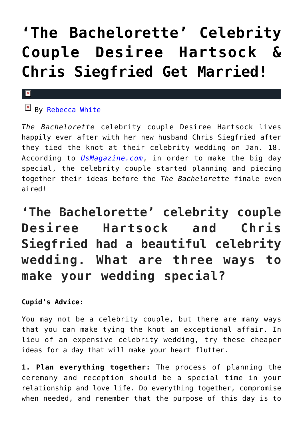## **['The Bachelorette' Celebrity](https://cupidspulse.com/85259/the-bachelorette-celebrity-couple-desiree-hartsock-marries-chris-siegfried/) [Couple Desiree Hartsock &](https://cupidspulse.com/85259/the-bachelorette-celebrity-couple-desiree-hartsock-marries-chris-siegfried/) [Chris Siegfried Get Married!](https://cupidspulse.com/85259/the-bachelorette-celebrity-couple-desiree-hartsock-marries-chris-siegfried/)**

## $\mathbf{x}$

## $\overline{\mathbb{F}}$  By [Rebecca White](http://cupidspulse.com/104603/rebecca-white/)

*The Bachelorette* celebrity couple Desiree Hartsock lives happily ever after with her new husband Chris Siegfried after they tied the knot at their celebrity wedding on Jan. 18. According to *[UsMagazine.com](http://www.usmagazine.com/celebrity-news/news/desiree-hartsock-chris-siegfried-married-wedding-details-2015181)*, in order to make the big day special, the celebrity couple started planning and piecing together their ideas before the *The Bachelorette* finale even aired!

**'The Bachelorette' celebrity couple Desiree Hartsock and Chris Siegfried had a beautiful celebrity wedding. What are three ways to make your wedding special?**

## **Cupid's Advice:**

You may not be a celebrity couple, but there are many ways that you can make tying the knot an exceptional affair. In lieu of an expensive celebrity wedding, try these cheaper ideas for a day that will make your heart flutter.

**1. Plan everything together:** The process of planning the ceremony and reception should be a special time in your relationship and love life. Do everything together, compromise when needed, and remember that the purpose of this day is to